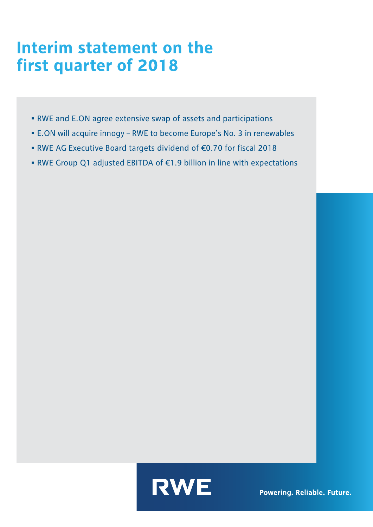## Interim statement on the **first quarter of 2018**

- RWE and E.ON agree extensive swap of assets and participations
- E.ON will acquire innogy RWE to become Europe's No. 3 in renewables
- RWE AG Executive Board targets dividend of €0.70 for fiscal 2018
- RWE Group Q1 adjusted EBITDA of €1.9 billion in line with expectations



**Powering. Reliable. Future.**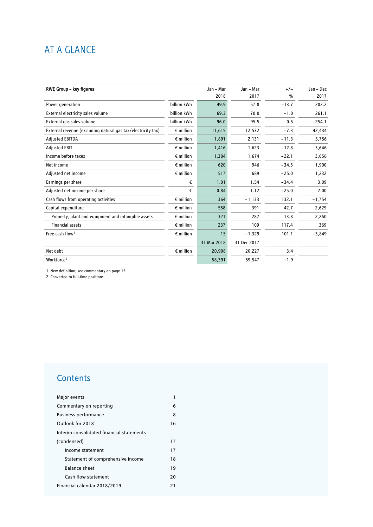## AT A GLANCE

| <b>RWE Group - key figures</b>                               |                    | Jan - Mar   | Jan - Mar   | $+/-$   | Jan - Dec |
|--------------------------------------------------------------|--------------------|-------------|-------------|---------|-----------|
|                                                              |                    | 2018        | 2017        | %       | 2017      |
| Power generation                                             | billion kWh        | 49.9        | 57.8        | $-13.7$ | 202.2     |
| External electricity sales volume                            | billion kWh        | 69.3        | 70.0        | $-1.0$  | 261.1     |
| External gas sales volume                                    | billion kWh        | 96.0        | 95.5        | 0.5     | 254.1     |
| External revenue (excluding natural gas tax/electricity tax) | $\epsilon$ million | 11,615      | 12,532      | $-7.3$  | 42,434    |
| <b>Adjusted EBITDA</b>                                       | $\epsilon$ million | 1,891       | 2,131       | $-11.3$ | 5,756     |
| <b>Adjusted EBIT</b>                                         | $\epsilon$ million | 1,416       | 1,623       | $-12.8$ | 3,646     |
| Income before taxes                                          | $\epsilon$ million | 1,304       | 1,674       | $-22.1$ | 3,056     |
| Net income                                                   | $\epsilon$ million | 620         | 946         | $-34.5$ | 1,900     |
| Adjusted net income                                          | $\epsilon$ million | 517         | 689         | $-25.0$ | 1,232     |
| Earnings per share                                           | €                  | 1.01        | 1.54        | $-34.4$ | 3.09      |
| Adjusted net income per share                                | €                  | 0.84        | 1.12        | $-25.0$ | 2.00      |
| Cash flows from operating activities                         | $\epsilon$ million | 364         | $-1,133$    | 132.1   | $-1,754$  |
| Capital expenditure                                          | $\epsilon$ million | 558         | 391         | 42.7    | 2,629     |
| Property, plant and equipment and intangible assets          | $\epsilon$ million | 321         | 282         | 13.8    | 2,260     |
| <b>Financial assets</b>                                      | $\epsilon$ million | 237         | 109         | 117.4   | 369       |
| Free cash flow <sup>1</sup>                                  | $\epsilon$ million | 15          | $-1,329$    | 101.1   | $-3,849$  |
|                                                              |                    | 31 Mar 2018 | 31 Dec 2017 |         |           |
| Net debt                                                     | $\epsilon$ million | 20,908      | 20,227      | 3.4     |           |
| Workforce <sup>2</sup>                                       |                    | 58,391      | 59,547      | $-1.9$  |           |

1 New definition; see commentary on page 15.

2 Converted to full-time positions.

## **Contents**

| Major events                              | 1  |
|-------------------------------------------|----|
| Commentary on reporting                   | 6  |
| <b>Business performance</b>               | 8  |
| Outlook for 2018                          | 16 |
| Interim consolidated financial statements |    |
| (condensed)                               | 17 |
| Income statement                          | 17 |
| Statement of comprehensive income         | 18 |
| <b>Balance sheet</b>                      | 19 |
| Cash flow statement                       | 20 |
| Financial calendar 2018/2019              | 21 |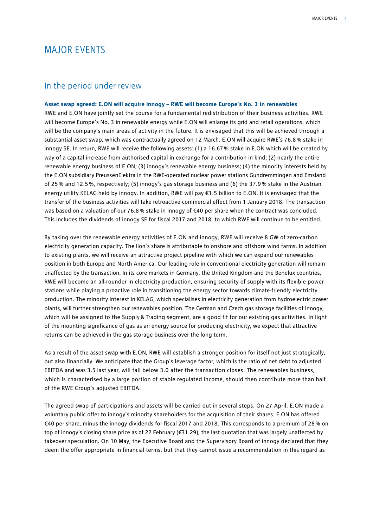### MAJOR EVENTS

#### In the period under review

**Asset swap agreed: E.ON will acquire innogy – RWE will become Europe's No. 3 in renewables** RWE and E.ON have jointly set the course for a fundamental redistribution of their business activities. RWE will become Europe's No. 3 in renewable energy while E.ON will enlarge its grid and retail operations, which will be the company's main areas of activity in the future. It is envisaged that this will be achieved through a substantial asset swap, which was contractually agreed on 12 March. E.ON will acquire RWE's 76.8% stake in innogy SE. In return, RWE will receive the following assets: (1) a 16.67% stake in E.ON which will be created by way of a capital increase from authorised capital in exchange for a contribution in kind; (2) nearly the entire renewable energy business of E.ON; (3) innogy's renewable energy business; (4) the minority interests held by the E.ON subsidiary PreussenElektra in the RWE-operated nuclear power stations Gundremmingen and Emsland of 25 % and 12.5 %, respectively; (5) innogy's gas storage business and (6) the 37.9 % stake in the Austrian energy utility KELAG held by innogy. In addition, RWE will pay €1.5 billion to E.ON. It is envisaged that the transfer of the business activities will take retroactive commercial effect from 1 January 2018. The transaction was based on a valuation of our 76.8% stake in innogy of €40 per share when the contract was concluded. This includes the dividends of innogy SE for fiscal 2017 and 2018, to which RWE will continue to be entitled.

By taking over the renewable energy activities of E.ON and innogy, RWE will receive 8 GW of zero-carbon electricity generation capacity. The lion's share is attributable to onshore and offshore wind farms. In addition to existing plants, we will receive an attractive project pipeline with which we can expand our renewables position in both Europe and North America. Our leading role in conventional electricity generation will remain unaffected by the transaction. In its core markets in Germany, the United Kingdom and the Benelux countries, RWE will become an all-rounder in electricity production, ensuring security of supply with its flexible power stations while playing a proactive role in transitioning the energy sector towards climate-friendly electricity production. The minority interest in KELAG, which specialises in electricity generation from hydroelectric power plants, will further strengthen our renewables position. The German and Czech gas storage facilities of innogy, which will be assigned to the Supply & Trading segment, are a good fit for our existing gas activities. In light of the mounting significance of gas as an energy source for producing electricity, we expect that attractive returns can be achieved in the gas storage business over the long term.

As a result of the asset swap with E.ON, RWE will establish a stronger position for itself not just strategically, but also financially. We anticipate that the Group's leverage factor, which is the ratio of net debt to adjusted EBITDA and was 3.5 last year, will fall below 3.0 after the transaction closes. The renewables business, which is characterised by a large portion of stable regulated income, should then contribute more than half of the RWE Group's adjusted EBITDA.

The agreed swap of participations and assets will be carried out in several steps. On 27 April, E.ON made a voluntary public offer to innogy's minority shareholders for the acquisition of their shares. E.ON has offered €40 per share, minus the innogy dividends for fiscal 2017 and 2018. This corresponds to a premium of 28% on top of innogy's closing share price as of 22 February (€31.29), the last quotation that was largely unaffected by takeover speculation. On 10 May, the Executive Board and the Supervisory Board of innogy declared that they deem the offer appropriate in financial terms, but that they cannot issue a recommendation in this regard as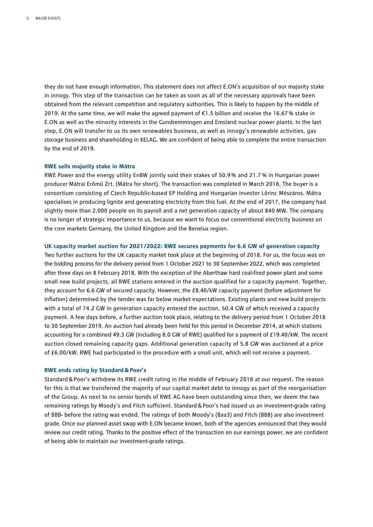they do not have enough information. This statement does not affect E.ON's acquisition of our majority stake in innogy. This step of the transaction can be taken as soon as all of the necessary approvals have been obtained from the relevant competition and regulatory authorities. This is likely to happen by the middle of 2019. At the same time, we will make the agreed payment of €1.5 billion and receive the 16.67% stake in E.ON as well as the minority interests in the Gundremmingen and Emsland nuclear power plants. In the last step, E.ON will transfer to us its own renewables business, as well as innogy's renewable activities, gas storage business and shareholding in KELAG. We are confident of being able to complete the entire transaction by the end of 2019.

#### **RWE sells majority stake in Mátra**

RWE Power and the energy utility EnBW jointly sold their stakes of 50.9 % and 21.7 % in Hungarian power producer Mátrai Erőmű Zrt. (Mátra for short). The transaction was completed in March 2018. The buyer is a consortium consisting of Czech Republic-based EP Holding and Hungarian investor Lőrinc Mészáros. Mátra specialises in producing lignite and generating electricity from this fuel. At the end of 2017, the company had slightly more than 2,000 people on its payroll and a net generation capacity of about 840 MW. The company is no longer of strategic importance to us, because we want to focus our conventional electricity business on the core markets Germany, the United Kingdom and the Benelux region.

#### **UK capacity market auction for 2021/2022: RWE secures payments for 6.6 GW of generation capacity**

Two further auctions for the UK capacity market took place at the beginning of 2018. For us, the focus was on the bidding process for the delivery period from 1 October 2021 to 30 September 2022, which was completed after three days on 8 February 2018. With the exception of the Aberthaw hard coal-fired power plant and some small new build projects, all RWE stations entered in the auction qualified for a capacity payment. Together, they account for 6.6 GW of secured capacity. However, the £8.40/kW capacity payment (before adjustment for inflation) determined by the tender was far below market expectations. Existing plants and new build projects with a total of 74.2 GW in generation capacity entered the auction, 50.4 GW of which received a capacity payment. A few days before, a further auction took place, relating to the delivery period from 1 October 2018 to 30 September 2019. An auction had already been held for this period in December 2014, at which stations accounting for a combined 49.3 GW (including 8.0 GW of RWE) qualified for a payment of £19.40/kW. The recent auction closed remaining capacity gaps. Additional generation capacity of 5.8 GW was auctioned at a price of £6.00/kW. RWE had participated in the procedure with a small unit, which will not receive a payment.

#### **RWE ends rating by Standard&Poor's**

Standard & Poor's withdrew its RWE credit rating in the middle of February 2018 at our request. The reason for this is that we transferred the majority of our capital market debt to innogy as part of the reorganisation of the Group. As next to no senior bonds of RWE AG have been outstanding since then, we deem the two remaining ratings by Moody's and Fitch sufficient. Standard&Poor's had issued us an investment-grade rating of BBB- before the rating was ended. The ratings of both Moody's (Baa3) and Fitch (BBB) are also investment grade. Once our planned asset swap with E.ON became known, both of the agencies announced that they would review our credit rating. Thanks to the positive effect of the transaction on our earnings power, we are confident of being able to maintain our investment-grade ratings.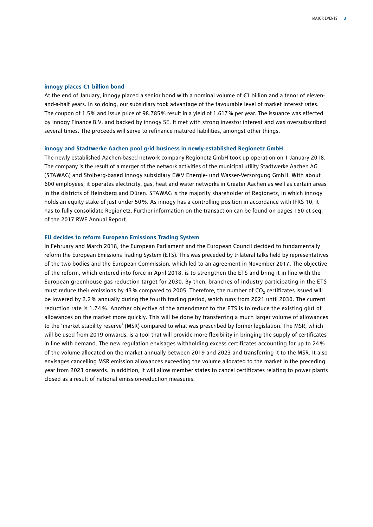#### **innogy places €1 billion bond**

At the end of January, innogy placed a senior bond with a nominal volume of €1 billion and a tenor of elevenand-a-half years. In so doing, our subsidiary took advantage of the favourable level of market interest rates. The coupon of 1.5% and issue price of 98.785% result in a yield of 1.617% per year. The issuance was effected by innogy Finance B.V. and backed by innogy SE. It met with strong investor interest and was oversubscribed several times. The proceeds will serve to refinance matured liabilities, amongst other things.

#### **innogy and Stadtwerke Aachen pool grid business in newly-established Regionetz GmbH**

The newly established Aachen-based network company Regionetz GmbH took up operation on 1 January 2018. The company is the result of a merger of the network activities of the municipal utility Stadtwerke Aachen AG (STAWAG) and Stolberg-based innogy subsidiary EWV Energie- und Wasser-Versorgung GmbH. With about 600 employees, it operates electricity, gas, heat and water networks in Greater Aachen as well as certain areas in the districts of Heinsberg and Düren. STAWAG is the majority shareholder of Regionetz, in which innogy holds an equity stake of just under 50%. As innogy has a controlling position in accordance with IFRS 10, it has to fully consolidate Regionetz. Further information on the transaction can be found on pages 150 et seq. of the 2017 RWE Annual Report.

#### **EU decides to reform European Emissions Trading System**

In February and March 2018, the European Parliament and the European Council decided to fundamentally reform the European Emissions Trading System (ETS). This was preceded by trilateral talks held by representatives of the two bodies and the European Commission, which led to an agreement in November 2017. The objective of the reform, which entered into force in April 2018, is to strengthen the ETS and bring it in line with the European greenhouse gas reduction target for 2030. By then, branches of industry participating in the ETS must reduce their emissions by 43% compared to 2005. Therefore, the number of  $CO<sub>2</sub>$  certificates issued will be lowered by 2.2 % annually during the fourth trading period, which runs from 2021 until 2030. The current reduction rate is 1.74 %. Another objective of the amendment to the ETS is to reduce the existing glut of allowances on the market more quickly. This will be done by transferring a much larger volume of allowances to the 'market stability reserve' (MSR) compared to what was prescribed by former legislation. The MSR, which will be used from 2019 onwards, is a tool that will provide more flexibility in bringing the supply of certificates in line with demand. The new regulation envisages withholding excess certificates accounting for up to 24% of the volume allocated on the market annually between 2019 and 2023 and transferring it to the MSR. It also envisages cancelling MSR emission allowances exceeding the volume allocated to the market in the preceding year from 2023 onwards. In addition, it will allow member states to cancel certificates relating to power plants closed as a result of national emission-reduction measures.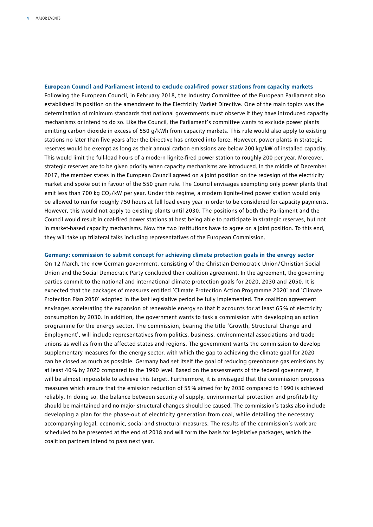**European Council and Parliament intend to exclude coal-fired power stations from capacity markets**  Following the European Council, in February 2018, the Industry Committee of the European Parliament also established its position on the amendment to the Electricity Market Directive. One of the main topics was the determination of minimum standards that national governments must observe if they have introduced capacity mechanisms or intend to do so. Like the Council, the Parliament's committee wants to exclude power plants emitting carbon dioxide in excess of 550 g/kWh from capacity markets. This rule would also apply to existing stations no later than five years after the Directive has entered into force. However, power plants in strategic reserves would be exempt as long as their annual carbon emissions are below 200 kg/kW of installed capacity. This would limit the full-load hours of a modern lignite-fired power station to roughly 200 per year. Moreover, strategic reserves are to be given priority when capacity mechanisms are introduced. In the middle of December 2017, the member states in the European Council agreed on a joint position on the redesign of the electricity market and spoke out in favour of the 550 gram rule. The Council envisages exempting only power plants that emit less than 700 kg CO<sub>2</sub>/kW per year. Under this regime, a modern lignite-fired power station would only be allowed to run for roughly 750 hours at full load every year in order to be considered for capacity payments. However, this would not apply to existing plants until 2030. The positions of both the Parliament and the Council would result in coal-fired power stations at best being able to participate in strategic reserves, but not in market-based capacity mechanisms. Now the two institutions have to agree on a joint position. To this end, they will take up trilateral talks including representatives of the European Commission.

#### **Germany: commission to submit concept for achieving climate protection goals in the energy sector**

On 12 March, the new German government, consisting of the Christian Democratic Union/Christian Social Union and the Social Democratic Party concluded their coalition agreement. In the agreement, the governing parties commit to the national and international climate protection goals for 2020, 2030 and 2050. It is expected that the packages of measures entitled 'Climate Protection Action Programme 2020' and 'Climate Protection Plan 2050' adopted in the last legislative period be fully implemented. The coalition agreement envisages accelerating the expansion of renewable energy so that it accounts for at least 65% of electricity consumption by 2030. In addition, the government wants to task a commission with developing an action programme for the energy sector. The commission, bearing the title 'Growth, Structural Change and Employment', will include representatives from politics, business, environmental associations and trade unions as well as from the affected states and regions. The government wants the commission to develop supplementary measures for the energy sector, with which the gap to achieving the climate goal for 2020 can be closed as much as possible. Germany had set itself the goal of reducing greenhouse gas emissions by at least 40% by 2020 compared to the 1990 level. Based on the assessments of the federal government, it will be almost impossbile to achieve this target. Furthermore, it is envisaged that the commission proposes measures which ensure that the emission reduction of 55% aimed for by 2030 compared to 1990 is achieved reliably. In doing so, the balance between security of supply, environmental protection and profitability should be maintained and no major structural changes should be caused. The commission's tasks also include developing a plan for the phase-out of electricity generation from coal, while detailing the necessary accompanying legal, economic, social and structural measures. The results of the commission's work are scheduled to be presented at the end of 2018 and will form the basis for legislative packages, which the coalition partners intend to pass next year.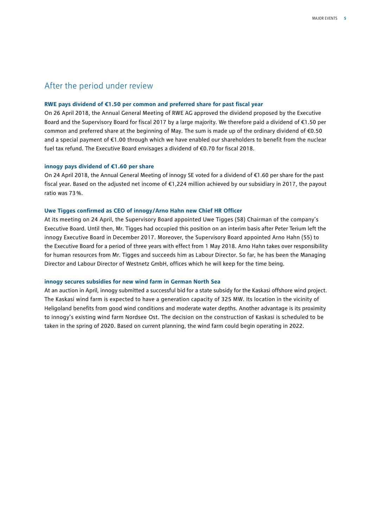#### After the period under review

#### **RWE pays dividend of €1.50 per common and preferred share for past fiscal year**

On 26 April 2018, the Annual General Meeting of RWE AG approved the dividend proposed by the Executive Board and the Supervisory Board for fiscal 2017 by a large majority. We therefore paid a dividend of €1.50 per common and preferred share at the beginning of May. The sum is made up of the ordinary dividend of €0.50 and a special payment of €1.00 through which we have enabled our shareholders to benefit from the nuclear fuel tax refund. The Executive Board envisages a dividend of €0.70 for fiscal 2018.

#### **innogy pays dividend of €1.60 per share**

On 24 April 2018, the Annual General Meeting of innogy SE voted for a dividend of €1.60 per share for the past fiscal year. Based on the adjusted net income of €1,224 million achieved by our subsidiary in 2017, the payout ratio was 73%.

#### **Uwe Tigges confirmed as CEO of innogy/Arno Hahn new Chief HR Officer**

At its meeting on 24 April, the Supervisory Board appointed Uwe Tigges (58) Chairman of the company's Executive Board. Until then, Mr. Tigges had occupied this position on an interim basis after Peter Terium left the innogy Executive Board in December 2017. Moreover, the Supervisory Board appointed Arno Hahn (55) to the Executive Board for a period of three years with effect from 1 May 2018. Arno Hahn takes over responsibility for human resources from Mr. Tigges and succeeds him as Labour Director. So far, he has been the Managing Director and Labour Director of Westnetz GmbH, offices which he will keep for the time being.

#### **innogy secures subsidies for new wind farm in German North Sea**

At an auction in April, innogy submitted a successful bid for a state subsidy for the Kaskasi offshore wind project. The Kaskasi wind farm is expected to have a generation capacity of 325 MW. Its location in the vicinity of Heligoland benefits from good wind conditions and moderate water depths. Another advantage is its proximity to innogy's existing wind farm Nordsee Ost. The decision on the construction of Kaskasi is scheduled to be taken in the spring of 2020. Based on current planning, the wind farm could begin operating in 2022.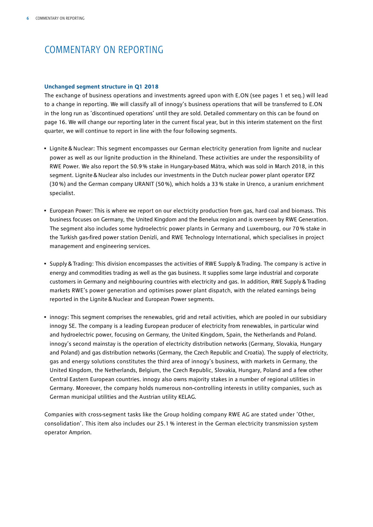## COMMENTARY ON REPORTING

#### **Unchanged segment structure in Q1 2018**

The exchange of business operations and investments agreed upon with E.ON (see pages 1 et seq.) will lead to a change in reporting. We will classify all of innogy's business operations that will be transferred to E.ON in the long run as 'discontinued operations' until they are sold. Detailed commentary on this can be found on page 16. We will change our reporting later in the current fiscal year, but in this interim statement on the first quarter, we will continue to report in line with the four following segments.

- Lignite & Nuclear: This segment encompasses our German electricity generation from lignite and nuclear power as well as our lignite production in the Rhineland. These activities are under the responsibility of RWE Power. We also report the 50.9% stake in Hungary-based Mátra, which was sold in March 2018, in this segment. Lignite&Nuclear also includes our investments in the Dutch nuclear power plant operator EPZ (30%) and the German company URANIT (50%), which holds a 33% stake in Urenco, a uranium enrichment specialist.
- European Power: This is where we report on our electricity production from gas, hard coal and biomass. This business focuses on Germany, the United Kingdom and the Benelux region and is overseen by RWE Generation. The segment also includes some hydroelectric power plants in Germany and Luxembourg, our 70% stake in the Turkish gas-fired power station Denizli, and RWE Technology International, which specialises in project management and engineering services.
- Supply&Trading: This division encompasses the activities of RWE Supply&Trading. The company is active in energy and commodities trading as well as the gas business. It supplies some large industrial and corporate customers in Germany and neighbouring countries with electricity and gas. In addition, RWE Supply&Trading markets RWE's power generation and optimises power plant dispatch, with the related earnings being reported in the Lignite&Nuclear and European Power segments.
- innogy: This segment comprises the renewables, grid and retail activities, which are pooled in our subsidiary innogy SE. The company is a leading European producer of electricity from renewables, in particular wind and hydroelectric power, focusing on Germany, the United Kingdom, Spain, the Netherlands and Poland. innogy's second mainstay is the operation of electricity distribution networks (Germany, Slovakia, Hungary and Poland) and gas distribution networks (Germany, the Czech Republic and Croatia). The supply of electricity, gas and energy solutions constitutes the third area of innogy's business, with markets in Germany, the United Kingdom, the Netherlands, Belgium, the Czech Republic, Slovakia, Hungary, Poland and a few other Central Eastern European countries. innogy also owns majority stakes in a number of regional utilities in Germany. Moreover, the company holds numerous non-controlling interests in utility companies, such as German municipal utilities and the Austrian utility KELAG.

Companies with cross-segment tasks like the Group holding company RWE AG are stated under 'Other, consolidation'. This item also includes our 25.1 % interest in the German electricity transmission system operator Amprion.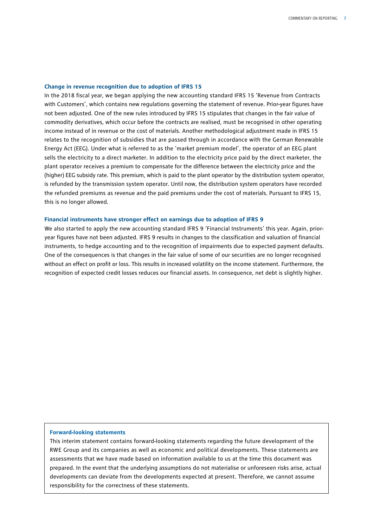#### **Change in revenue recognition due to adoption of IFRS 15**

In the 2018 fiscal year, we began applying the new accounting standard IFRS 15 'Revenue from Contracts with Customers', which contains new regulations governing the statement of revenue. Prior-year figures have not been adjusted. One of the new rules introduced by IFRS 15 stipulates that changes in the fair value of commodity derivatives, which occur before the contracts are realised, must be recognised in other operating income instead of in revenue or the cost of materials. Another methodological adjustment made in IFRS 15 relates to the recognition of subsidies that are passed through in accordance with the German Renewable Energy Act (EEG). Under what is referred to as the 'market premium model', the operator of an EEG plant sells the electricity to a direct marketer. In addition to the electricity price paid by the direct marketer, the plant operator receives a premium to compensate for the difference between the electricity price and the (higher) EEG subsidy rate. This premium, which is paid to the plant operator by the distribution system operator, is refunded by the transmission system operator. Until now, the distribution system operators have recorded the refunded premiums as revenue and the paid premiums under the cost of materials. Pursuant to IFRS 15, this is no longer allowed.

#### **Financial instruments have stronger effect on earnings due to adoption of IFRS 9**

We also started to apply the new accounting standard IFRS 9 'Financial Instruments' this year. Again, prioryear figures have not been adjusted. IFRS 9 results in changes to the classification and valuation of financial instruments, to hedge accounting and to the recognition of impairments due to expected payment defaults. One of the consequences is that changes in the fair value of some of our securities are no longer recognised without an effect on profit or loss. This results in increased volatility on the income statement. Furthermore, the recognition of expected credit losses reduces our financial assets. In consequence, net debt is slightly higher.

#### **Forward-looking statements**

This interim statement contains forward-looking statements regarding the future development of the RWE Group and its companies as well as economic and political developments. These statements are assessments that we have made based on information available to us at the time this document was prepared. In the event that the underlying assumptions do not materialise or unforeseen risks arise, actual developments can deviate from the developments expected at present. Therefore, we cannot assume responsibility for the correctness of these statements.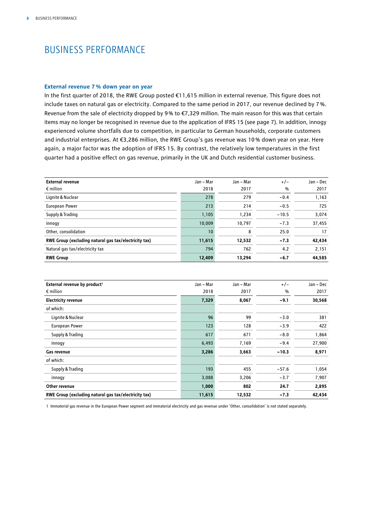## BUSINESS PERFORMANCE

#### **External revenue 7% down year on year**

In the first quarter of 2018, the RWE Group posted €11,615 million in external revenue. This figure does not include taxes on natural gas or electricity. Compared to the same period in 2017, our revenue declined by 7%. Revenue from the sale of electricity dropped by 9% to €7,329 million. The main reason for this was that certain items may no longer be recognised in revenue due to the application of IFRS 15 (see page 7). In addition, innogy experienced volume shortfalls due to competition, in particular to German households, corporate customers and industrial enterprises. At €3,286 million, the RWE Group's gas revenue was 10% down year on year. Here again, a major factor was the adoption of IFRS 15. By contrast, the relatively low temperatures in the first quarter had a positive effect on gas revenue, primarily in the UK and Dutch residential customer business.

| <b>External revenue</b>                               | Jan - Mar | Jan - Mar | $+/-$         | Jan – Dec |
|-------------------------------------------------------|-----------|-----------|---------------|-----------|
| $\epsilon$ million                                    | 2018      | 2017      | $\frac{0}{0}$ | 2017      |
| Lignite & Nuclear                                     | 278       | 279       | $-0.4$        | 1,163     |
| <b>European Power</b>                                 | 213       | 214       | $-0.5$        | 725       |
| Supply & Trading                                      | 1,105     | 1,234     | $-10.5$       | 3,074     |
| innogy                                                | 10.009    | 10.797    | $-7.3$        | 37,455    |
| Other, consolidation                                  | 10        | 8         | 25.0          | 17        |
| RWE Group (excluding natural gas tax/electricity tax) | 11,615    | 12,532    | $-7.3$        | 42,434    |
| Natural gas tax/electricity tax                       | 794       | 762       | 4.2           | 2,151     |
| <b>RWE Group</b>                                      | 12,409    | 13,294    | $-6.7$        | 44,585    |

| External revenue by product <sup>1</sup>              | Jan - Mar | Jan - Mar | $+/-$   | Jan - Dec |
|-------------------------------------------------------|-----------|-----------|---------|-----------|
| $\epsilon$ million                                    | 2018      | 2017      | %       | 2017      |
| <b>Electricity revenue</b>                            | 7,329     | 8,067     | $-9.1$  | 30,568    |
| of which:                                             |           |           |         |           |
| Lignite & Nuclear                                     | 96        | 99        | $-3.0$  | 381       |
| <b>European Power</b>                                 | 123       | 128       | $-3.9$  | 422       |
| Supply & Trading                                      | 617       | 671       | $-8.0$  | 1,864     |
| innogy                                                | 6,493     | 7,169     | $-9.4$  | 27,900    |
| Gas revenue                                           | 3,286     | 3,663     | $-10.3$ | 8,971     |
| of which:                                             |           |           |         |           |
| Supply & Trading                                      | 193       | 455       | $-57.6$ | 1,054     |
| innogy                                                | 3,088     | 3,206     | $-3.7$  | 7,907     |
| Other revenue                                         | 1,000     | 802       | 24.7    | 2,895     |
| RWE Group (excluding natural gas tax/electricity tax) | 11,615    | 12,532    | $-7.3$  | 42,434    |

1 Immaterial gas revenue in the European Power segment and immaterial electricity and gas revenue under 'Other, consolidation' is not stated separately.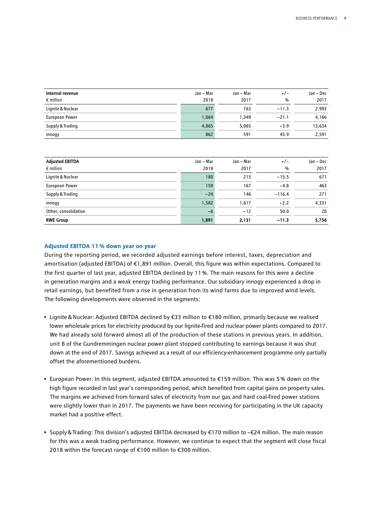| Internal revenue   | Jan - Mar | Jan – Mar | $+/-$   | Jan - Dec |
|--------------------|-----------|-----------|---------|-----------|
| $\epsilon$ million | 2018      | 2017      | $\%$    | 2017      |
| Lignite & Nuclear  | 677       | 763       | $-11.3$ | 2.993     |
| European Power     | 1,064     | 1.349     | $-21.1$ | 4,166     |
| Supply & Trading   | 4,865     | 5.065     | $-3.9$  | 13,634    |
| innogy             | 862       | 591       | 45.9    | 2,591     |

| <b>Adjusted EBITDA</b> | Jan - Mar | Jan – Mar | $+/-$         | Jan - Dec |
|------------------------|-----------|-----------|---------------|-----------|
| $\epsilon$ million     | 2018      | 2017      | $\frac{0}{0}$ | 2017      |
| Lignite & Nuclear      | 180       | 213       | $-15.5$       | 671       |
| European Power         | 159       | 167       | $-4.8$        | 463       |
| Supply & Trading       | $-24$     | 146       | $-116.4$      | 271       |
| innogy                 | 1,582     | 1,617     | $-2.2$        | 4,331     |
| Other, consolidation   | $-6$      | $-12$     | 50.0          | 20        |
| <b>RWE Group</b>       | 1,891     | 2,131     | $-11.3$       | 5,756     |

#### **Adjusted EBITDA 11% down year on year**

During the reporting period, we recorded adjusted earnings before interest, taxes, depreciation and amortisation (adjusted EBITDA) of €1,891 million. Overall, this figure was within expectations. Compared to the first quarter of last year, adjusted EBITDA declined by 11 %. The main reasons for this were a decline in generation margins and a weak energy trading performance. Our subsidiary innogy experienced a drop in retail earnings, but benefited from a rise in generation from its wind farms due to improved wind levels. The following developments were observed in the segments:

- Lignite&Nuclear: Adjusted EBITDA declined by €33 million to €180 million, primarily because we realised lower wholesale prices for electricity produced by our lignite-fired and nuclear power plants compared to 2017. We had already sold forward almost all of the production of these stations in previous years. In addition, unit B of the Gundremmingen nuclear power plant stopped contributing to earnings because it was shut down at the end of 2017. Savings achieved as a result of our efficiency-enhancement programme only partially offset the aforementioned burdens.
- European Power: In this segment, adjusted EBITDA amounted to €159 million. This was 5% down on the high figure recorded in last year's corresponding period, which benefited from capital gains on property sales. The margins we achieved from forward sales of electricity from our gas and hard coal-fired power stations were slightly lower than in 2017. The payments we have been receiving for participating in the UK capacity market had a positive effect.
- Supply&Trading: This division's adjusted EBITDA decreased by €170 million to –€24 million. The main reason for this was a weak trading performance. However, we continue to expect that the segment will close fiscal 2018 within the forecast range of €100 million to €300 million.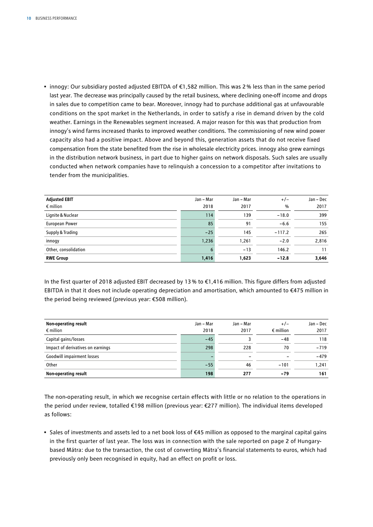• innogy: Our subsidiary posted adjusted EBITDA of €1,582 million. This was 2% less than in the same period last year. The decrease was principally caused by the retail business, where declining one-off income and drops in sales due to competition came to bear. Moreover, innogy had to purchase additional gas at unfavourable conditions on the spot market in the Netherlands, in order to satisfy a rise in demand driven by the cold weather. Earnings in the Renewables segment increased. A major reason for this was that production from innogy's wind farms increased thanks to improved weather conditions. The commissioning of new wind power capacity also had a positive impact. Above and beyond this, generation assets that do not receive fixed compensation from the state benefited from the rise in wholesale electricity prices. innogy also grew earnings in the distribution network business, in part due to higher gains on network disposals. Such sales are usually conducted when network companies have to relinquish a concession to a competitor after invitations to tender from the municipalities.

| <b>Adjusted EBIT</b> | Jan - Mar | Jan - Mar | $+/-$         | Jan - Dec |
|----------------------|-----------|-----------|---------------|-----------|
| $\epsilon$ million   | 2018      | 2017      | $\frac{0}{0}$ | 2017      |
| Lignite & Nuclear    | 114       | 139       | $-18.0$       | 399       |
| European Power       | 85        | 91        | $-6.6$        | 155       |
| Supply & Trading     | $-25$     | 145       | $-117.2$      | 265       |
| innogy               | 1,236     | 1,261     | $-2.0$        | 2,816     |
| Other, consolidation | 6         | $-13$     | 146.2         | 11        |
| <b>RWE Group</b>     | 1,416     | 1,623     | $-12.8$       | 3,646     |

In the first quarter of 2018 adjusted EBIT decreased by 13% to €1,416 million. This figure differs from adjusted EBITDA in that it does not include operating depreciation and amortisation, which amounted to €475 million in the period being reviewed (previous year: €508 million).

| Non-operating result              | Jan - Mar | Jan – Mar | $+/-$              | Jan - Dec |
|-----------------------------------|-----------|-----------|--------------------|-----------|
| $\epsilon$ million                | 2018      | 2017      | $\epsilon$ million | 2017      |
| Capital gains/losses              | $-45$     |           | -48                | 118       |
| Impact of derivatives on earnings | 298       | 228       | 70                 | $-719$    |
| <b>Goodwill impairment losses</b> |           | -         |                    | $-479$    |
| Other                             | $-55$     | 46        | $-101$             | 1.241     |
| Non-operating result              | 198       | 277       | -79                | 161       |

The non-operating result, in which we recognise certain effects with little or no relation to the operations in the period under review, totalled €198 million (previous year: €277 million). The individual items developed as follows:

• Sales of investments and assets led to a net book loss of €45 million as opposed to the marginal capital gains in the first quarter of last year. The loss was in connection with the sale reported on page 2 of Hungarybased Mátra: due to the transaction, the cost of converting Mátra's financial statements to euros, which had previously only been recognised in equity, had an effect on profit or loss.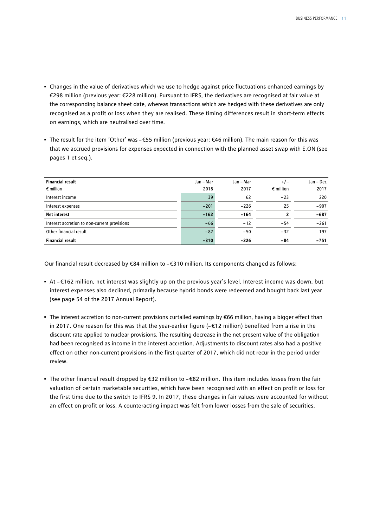- Changes in the value of derivatives which we use to hedge against price fluctuations enhanced earnings by €298 million (previous year: €228 million). Pursuant to IFRS, the derivatives are recognised at fair value at the corresponding balance sheet date, whereas transactions which are hedged with these derivatives are only recognised as a profit or loss when they are realised. These timing differences result in short-term effects on earnings, which are neutralised over time.
- The result for the item 'Other' was –€55 million (previous year: €46 million). The main reason for this was that we accrued provisions for expenses expected in connection with the planned asset swap with E.ON (see pages 1 et seq.).

| <b>Financial result</b>                      | Jan - Mar | Jan – Mar | $+/-$              | Jan – Dec |
|----------------------------------------------|-----------|-----------|--------------------|-----------|
| $\epsilon$ million                           | 2018      | 2017      | $\epsilon$ million | 2017      |
| Interest income                              | 39        | 62        | $-23$              | 220       |
| Interest expenses                            | $-201$    | $-226$    | 25                 | $-907$    |
| <b>Net interest</b>                          | $-162$    | $-164$    |                    | $-687$    |
| Interest accretion to non-current provisions | $-66$     | $-12$     | $-54$              | $-261$    |
| Other financial result                       | $-82$     | $-50$     | $-32$              | 197       |
| <b>Financial result</b>                      | $-310$    | $-226$    | $-84$              | $-751$    |

Our financial result decreased by €84 million to –€310 million. Its components changed as follows:

- At €162 million, net interest was slightly up on the previous year's level. Interest income was down, but interest expenses also declined, primarily because hybrid bonds were redeemed and bought back last year (see page 54 of the 2017 Annual Report).
- The interest accretion to non-current provisions curtailed earnings by €66 million, having a bigger effect than in 2017. One reason for this was that the year-earlier figure (– €12 million) benefited from a rise in the discount rate applied to nuclear provisions. The resulting decrease in the net present value of the obligation had been recognised as income in the interest accretion. Adjustments to discount rates also had a positive effect on other non-current provisions in the first quarter of 2017, which did not recur in the period under review.
- The other financial result dropped by €32 million to €82 million. This item includes losses from the fair valuation of certain marketable securities, which have been recognised with an effect on profit or loss for the first time due to the switch to IFRS 9. In 2017, these changes in fair values were accounted for without an effect on profit or loss. A counteracting impact was felt from lower losses from the sale of securities.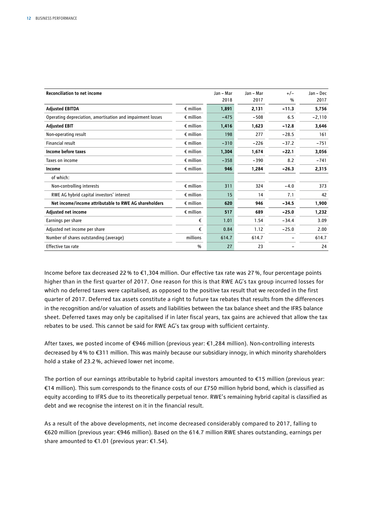| <b>Reconciliation to net income</b>                        |                    | Jan - Mar | Jan - Mar | $+/-$         | Jan – Dec |
|------------------------------------------------------------|--------------------|-----------|-----------|---------------|-----------|
|                                                            |                    | 2018      | 2017      | $\frac{0}{0}$ | 2017      |
| <b>Adjusted EBITDA</b>                                     | $\epsilon$ million | 1,891     | 2,131     | $-11.3$       | 5,756     |
| Operating depreciation, amortisation and impairment losses | $\epsilon$ million | $-475$    | $-508$    | 6.5           | $-2,110$  |
| <b>Adjusted EBIT</b>                                       | $\epsilon$ million | 1,416     | 1,623     | $-12.8$       | 3,646     |
| Non-operating result                                       | $\epsilon$ million | 198       | 277       | $-28.5$       | 161       |
| Financial result                                           | $\epsilon$ million | $-310$    | $-226$    | $-37.2$       | $-751$    |
| Income before taxes                                        | $\epsilon$ million | 1,304     | 1,674     | $-22.1$       | 3,056     |
| Taxes on income                                            | $\epsilon$ million | $-358$    | $-390$    | 8.2           | $-741$    |
| Income                                                     | $\epsilon$ million | 946       | 1,284     | $-26.3$       | 2,315     |
| of which:                                                  |                    |           |           |               |           |
| Non-controlling interests                                  | $\epsilon$ million | 311       | 324       | $-4.0$        | 373       |
| RWE AG hybrid capital investors' interest                  | $\epsilon$ million | 15        | 14        | 7.1           | 42        |
| Net income/income attributable to RWE AG shareholders      | $\epsilon$ million | 620       | 946       | $-34.5$       | 1,900     |
| <b>Adjusted net income</b>                                 | $\epsilon$ million | 517       | 689       | $-25.0$       | 1,232     |
| Earnings per share                                         | €                  | 1.01      | 1.54      | $-34.4$       | 3.09      |
| Adjusted net income per share                              | €                  | 0.84      | 1.12      | $-25.0$       | 2.00      |
| Number of shares outstanding (average)                     | millions           | 614.7     | 614.7     |               | 614.7     |
| Effective tax rate                                         | $\%$               | 27        | 23        |               | 24        |

Income before tax decreased 22% to €1,304 million. Our effective tax rate was 27%, four percentage points higher than in the first quarter of 2017. One reason for this is that RWE AG's tax group incurred losses for which no deferred taxes were capitalised, as opposed to the positive tax result that we recorded in the first quarter of 2017. Deferred tax assets constitute a right to future tax rebates that results from the differences in the recognition and/or valuation of assets and liabilities between the tax balance sheet and the IFRS balance sheet. Deferred taxes may only be capitalised if in later fiscal years, tax gains are achieved that allow the tax rebates to be used. This cannot be said for RWE AG's tax group with sufficient certainty.

After taxes, we posted income of €946 million (previous year: €1,284 million). Non-controlling interests decreased by 4% to €311 million. This was mainly because our subsidiary innogy, in which minority shareholders hold a stake of 23.2%, achieved lower net income.

The portion of our earnings attributable to hybrid capital investors amounted to €15 million (previous year: €14 million). This sum corresponds to the finance costs of our £750 million hybrid bond, which is classified as equity according to IFRS due to its theoretically perpetual tenor. RWE's remaining hybrid capital is classified as debt and we recognise the interest on it in the financial result.

As a result of the above developments, net income decreased considerably compared to 2017, falling to €620 million (previous year: €946 million). Based on the 614.7 million RWE shares outstanding, earnings per share amounted to €1.01 (previous year: €1.54).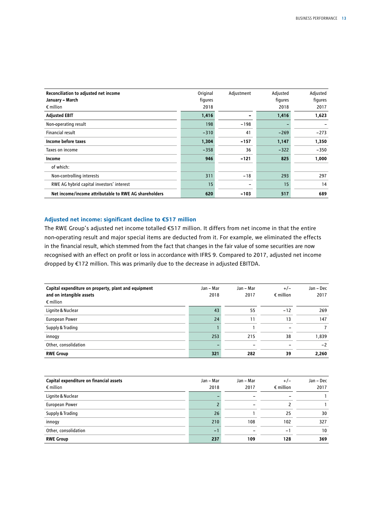| Reconciliation to adjusted net income<br>January - March<br>$\epsilon$ million | Original<br>figures<br>2018 | Adjustment | Adjusted<br>figures<br>2018 | Adjusted<br>figures<br>2017 |
|--------------------------------------------------------------------------------|-----------------------------|------------|-----------------------------|-----------------------------|
| <b>Adjusted EBIT</b>                                                           | 1,416                       |            | 1,416                       | 1,623                       |
| Non-operating result                                                           | 198                         | $-198$     |                             |                             |
| Financial result                                                               | $-310$                      | 41         | $-269$                      | $-273$                      |
| Income before taxes                                                            | 1,304                       | $-157$     | 1,147                       | 1,350                       |
| Taxes on income                                                                | $-358$                      | 36         | $-322$                      | $-350$                      |
| Income                                                                         | 946                         | $-121$     | 825                         | 1,000                       |
| of which:                                                                      |                             |            |                             |                             |
| Non-controlling interests                                                      | 311                         | $-18$      | 293                         | 297                         |
| RWE AG hybrid capital investors' interest                                      | 15                          | -          | 15                          | 14                          |
| Net income/income attributable to RWE AG shareholders                          | 620                         | $-103$     | 517                         | 689                         |

#### **Adjusted net income: significant decline to €517 million**

The RWE Group's adjusted net income totalled €517 million. It differs from net income in that the entire non-operating result and major special items are deducted from it. For example, we eliminated the effects in the financial result, which stemmed from the fact that changes in the fair value of some securities are now recognised with an effect on profit or loss in accordance with IFRS 9. Compared to 2017, adjusted net income dropped by €172 million. This was primarily due to the decrease in adjusted EBITDA.

| Capital expenditure on property, plant and equipment<br>and on intangible assets<br>$\epsilon$ million | Jan – Mar<br>2018 | Jan – Mar<br>2017 | $+/-$<br>$\epsilon$ million | Jan - Dec<br>2017 |
|--------------------------------------------------------------------------------------------------------|-------------------|-------------------|-----------------------------|-------------------|
| Lignite & Nuclear                                                                                      | 43                | 55                | $-12$                       | 269               |
| European Power                                                                                         | 24                | 11                | 13                          | 147               |
| Supply & Trading                                                                                       |                   |                   |                             |                   |
| innogy                                                                                                 | 253               | 215               | 38                          | 1,839             |
| Other, consolidation                                                                                   |                   |                   |                             | $-2$              |
| <b>RWE Group</b>                                                                                       | 321               | 282               | 39                          | 2,260             |

| Capital expenditure on financial assets | Jan - Mar | Jan - Mar | $+/-$                    | Jan – Dec |
|-----------------------------------------|-----------|-----------|--------------------------|-----------|
| $\epsilon$ million                      | 2018      | 2017      | $\epsilon$ million       | 2017      |
| Lignite & Nuclear                       |           |           | $\overline{\phantom{0}}$ |           |
| European Power                          |           |           |                          |           |
| Supply & Trading                        | 26        |           | 25                       | 30        |
| innogy                                  | 210       | 108       | 102                      | 327       |
| Other, consolidation                    | $-1$      |           | $\overline{\phantom{0}}$ | 10        |
| <b>RWE Group</b>                        | 237       | 109       | 128                      | 369       |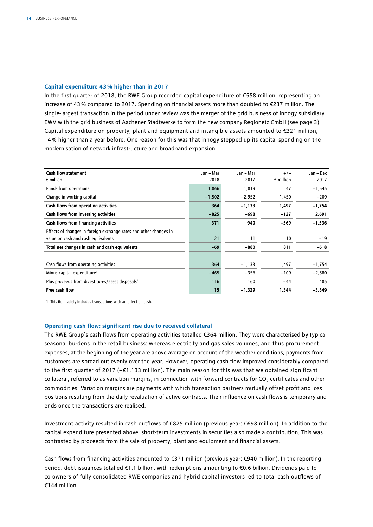#### **Capital expenditure 43% higher than in 2017**

In the first quarter of 2018, the RWE Group recorded capital expenditure of €558 million, representing an increase of 43% compared to 2017. Spending on financial assets more than doubled to €237 million. The single-largest transaction in the period under review was the merger of the grid business of innogy subsidiary EWV with the grid business of Aachener Stadtwerke to form the new company Regionetz GmbH (see page 3). Capital expenditure on property, plant and equipment and intangible assets amounted to €321 million, 14 % higher than a year before. One reason for this was that innogy stepped up its capital spending on the modernisation of network infrastructure and broadband expansion.

| <b>Cash flow statement</b>                                        | Jan - Mar | Jan - Mar | $+/-$              | Jan - Dec |
|-------------------------------------------------------------------|-----------|-----------|--------------------|-----------|
| $\epsilon$ million                                                | 2018      | 2017      | $\epsilon$ million | 2017      |
| Funds from operations                                             | 1,866     | 1,819     | 47                 | $-1,545$  |
| Change in working capital                                         | $-1,502$  | $-2,952$  | 1,450              | $-209$    |
| Cash flows from operating activities                              | 364       | -1,133    | 1,497              | $-1,754$  |
| Cash flows from investing activities                              | $-825$    | $-698$    | $-127$             | 2,691     |
| Cash flows from financing activities                              | 371       | 940       | $-569$             | $-1,536$  |
| Effects of changes in foreign exchange rates and other changes in |           |           |                    |           |
| value on cash and cash equivalents                                | 21        | 11        | 10                 | $-19$     |
| Total net changes in cash and cash equivalents                    | $-69$     | $-880$    | 811                | $-618$    |
| Cash flows from operating activities                              | 364       | $-1,133$  | 1,497              | $-1,754$  |
| Minus capital expenditure <sup>1</sup>                            | $-465$    | $-356$    | $-109$             | $-2,580$  |
| Plus proceeds from divestitures/asset disposals <sup>1</sup>      | 116       | 160       | $-44$              | 485       |
| Free cash flow                                                    | 15        | -1,329    | 1,344              | $-3,849$  |

1 This item solely includes transactions with an effect on cash.

#### **Operating cash flow: significant rise due to received collateral**

The RWE Group's cash flows from operating activities totalled €364 million. They were characterised by typical seasonal burdens in the retail business: whereas electricity and gas sales volumes, and thus procurement expenses, at the beginning of the year are above average on account of the weather conditions, payments from customers are spread out evenly over the year. However, operating cash flow improved considerably compared to the first quarter of 2017 (- $\epsilon$ 1,133 million). The main reason for this was that we obtained significant collateral, referred to as variation margins, in connection with forward contracts for  $CO<sub>2</sub>$  certificates and other commodities. Variation margins are payments with which transaction partners mutually offset profit and loss positions resulting from the daily revaluation of active contracts. Their influence on cash flows is temporary and ends once the transactions are realised.

Investment activity resulted in cash outflows of €825 million (previous year: €698 million). In addition to the capital expenditure presented above, short-term investments in securities also made a contribution. This was contrasted by proceeds from the sale of property, plant and equipment and financial assets.

Cash flows from financing activities amounted to €371 million (previous year: €940 million). In the reporting period, debt issuances totalled €1.1 billion, with redemptions amounting to €0.6 billion. Dividends paid to co-owners of fully consolidated RWE companies and hybrid capital investors led to total cash outflows of €144 million.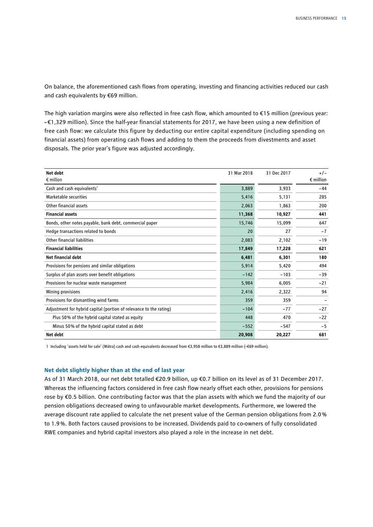On balance, the aforementioned cash flows from operating, investing and financing activities reduced our cash and cash equivalents by €69 million.

The high variation margins were also reflected in free cash flow, which amounted to €15 million (previous year: –€1,329 million). Since the half-year financial statements for 2017, we have been using a new definition of free cash flow: we calculate this figure by deducting our entire capital expenditure (including spending on financial assets) from operating cash flows and adding to them the proceeds from divestments and asset disposals. The prior year's figure was adjusted accordingly.

| Net debt                                                           | 31 Mar 2018 | 31 Dec 2017 | $+/-$              |
|--------------------------------------------------------------------|-------------|-------------|--------------------|
| $\epsilon$ million                                                 |             |             | $\epsilon$ million |
| Cash and cash equivalents <sup>1</sup>                             | 3,889       | 3,933       | $-44$              |
| Marketable securities                                              | 5,416       | 5,131       | 285                |
| Other financial assets                                             | 2,063       | 1,863       | 200                |
| <b>Financial assets</b>                                            | 11,368      | 10,927      | 441                |
| Bonds, other notes payable, bank debt, commercial paper            | 15,746      | 15,099      | 647                |
| Hedge transactions related to bonds                                | 20          | 27          | $-7$               |
| Other financial liabilities                                        | 2,083       | 2,102       | $-19$              |
| <b>Financial liabilities</b>                                       | 17,849      | 17,228      | 621                |
| Net financial debt                                                 | 6,481       | 6,301       | 180                |
| Provisions for pensions and similar obligations                    | 5,914       | 5,420       | 494                |
| Surplus of plan assets over benefit obligations                    | $-142$      | $-103$      | $-39$              |
| Provisions for nuclear waste management                            | 5,984       | 6,005       | $-21$              |
| Mining provisions                                                  | 2,416       | 2,322       | 94                 |
| Provisions for dismantling wind farms                              | 359         | 359         |                    |
| Adjustment for hybrid capital (portion of relevance to the rating) | $-104$      | $-77$       | $-27$              |
| Plus 50% of the hybrid capital stated as equity                    | 448         | 470         | $-22$              |
| Minus 50% of the hybrid capital stated as debt                     | $-552$      | $-547$      | $-5$               |
| Net debt                                                           | 20,908      | 20,227      | 681                |

1 Including 'assets held for sale' (Mátra) cash and cash equivalents decreased from €3,958 million to €3,889 million (–€69 million).

#### **Net debt slightly higher than at the end of last year**

As of 31 March 2018, our net debt totalled €20.9 billion, up €0.7 billion on its level as of 31 December 2017. Whereas the influencing factors considered in free cash flow nearly offset each other, provisions for pensions rose by €0.5 billion. One contributing factor was that the plan assets with which we fund the majority of our pension obligations decreased owing to unfavourable market developments. Furthermore, we lowered the average discount rate applied to calculate the net present value of the German pension obligations from 2.0% to 1.9%. Both factors caused provisions to be increased. Dividends paid to co-owners of fully consolidated RWE companies and hybrid capital investors also played a role in the increase in net debt.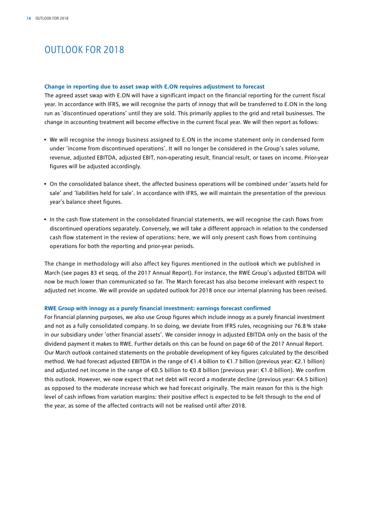## OUTLOOK FOR 2018

#### **Change in reporting due to asset swap with E.ON requires adjustment to forecast**

The agreed asset swap with E.ON will have a significant impact on the financial reporting for the current fiscal year. In accordance with IFRS, we will recognise the parts of innogy that will be transferred to E.ON in the long run as 'discontinued operations' until they are sold. This primarily applies to the grid and retail businesses. The change in accounting treatment will become effective in the current fiscal year. We will then report as follows:

- We will recognise the innogy business assigned to E.ON in the income statement only in condensed form under 'income from discontinued operations'. It will no longer be considered in the Group's sales volume, revenue, adjusted EBITDA, adjusted EBIT, non-operating result, financial result, or taxes on income. Prior-year figures will be adjusted accordingly.
- On the consolidated balance sheet, the affected business operations will be combined under 'assets held for sale' and 'liabilities held for sale'. In accordance with IFRS, we will maintain the presentation of the previous year's balance sheet figures.
- In the cash flow statement in the consolidated financial statements, we will recognise the cash flows from discontinued operations separately. Conversely, we will take a different approach in relation to the condensed cash flow statement in the review of operations: here, we will only present cash flows from continuing operations for both the reporting and prior-year periods.

The change in methodology will also affect key figures mentioned in the outlook which we published in March (see pages 83 et seqq. of the 2017 Annual Report). For instance, the RWE Group's adjusted EBITDA will now be much lower than communicated so far. The March forecast has also become irrelevant with respect to adjusted net income. We will provide an updated outlook for 2018 once our internal planning has been revised.

#### **RWE Group with innogy as a purely financial investment: earnings forecast confirmed**

For financial planning purposes, we also use Group figures which include innogy as a purely financial investment and not as a fully consolidated company. In so doing, we deviate from IFRS rules, recognising our 76.8% stake in our subsidiary under 'other financial assets'. We consider innogy in adjusted EBITDA only on the basis of the dividend payment it makes to RWE. Further details on this can be found on page 60 of the 2017 Annual Report. Our March outlook contained statements on the probable development of key figures calculated by the described method. We had forecast adjusted EBITDA in the range of €1.4 billion to €1.7 billion (previous year: €2.1 billion) and adjusted net income in the range of €0.5 billion to €0.8 billion (previous year: €1.0 billion). We confirm this outlook. However, we now expect that net debt will record a moderate decline (previous year: €4.5 billion) as opposed to the moderate increase which we had forecast originally. The main reason for this is the high level of cash inflows from variation margins: their positive effect is expected to be felt through to the end of the year, as some of the affected contracts will not be realised until after 2018.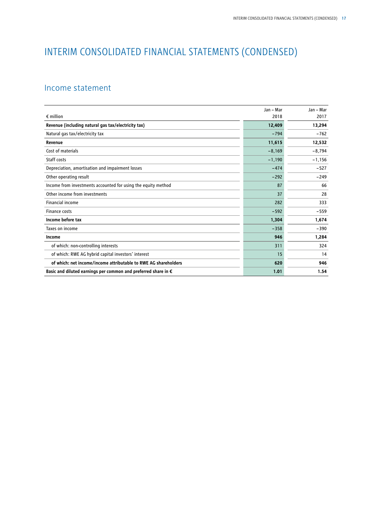## INTERIM CONSOLIDATED FINANCIAL STATEMENTS (CONDENSED)

## Income statement

|                                                                 | Jan - Mar | Jan – Mar |
|-----------------------------------------------------------------|-----------|-----------|
| $\epsilon$ million                                              | 2018      | 2017      |
| Revenue (including natural gas tax/electricity tax)             | 12,409    | 13,294    |
| Natural gas tax/electricity tax                                 | $-794$    | $-762$    |
| Revenue                                                         | 11,615    | 12,532    |
| Cost of materials                                               | $-8,169$  | $-8,794$  |
| Staff costs                                                     | $-1,190$  | $-1,156$  |
| Depreciation, amortisation and impairment losses                | $-474$    | $-527$    |
| Other operating result                                          | $-292$    | $-249$    |
| Income from investments accounted for using the equity method   | 87        | 66        |
| Other income from investments                                   | 37        | 28        |
| Financial income                                                | 282       | 333       |
| <b>Finance costs</b>                                            | $-592$    | $-559$    |
| Income before tax                                               | 1,304     | 1,674     |
| Taxes on income                                                 | $-358$    | $-390$    |
| Income                                                          | 946       | 1,284     |
| of which: non-controlling interests                             | 311       | 324       |
| of which: RWE AG hybrid capital investors' interest             | 15        | 14        |
| of which: net income/income attributable to RWE AG shareholders | 620       | 946       |
| Basic and diluted earnings per common and preferred share in €  | 1.01      | 1.54      |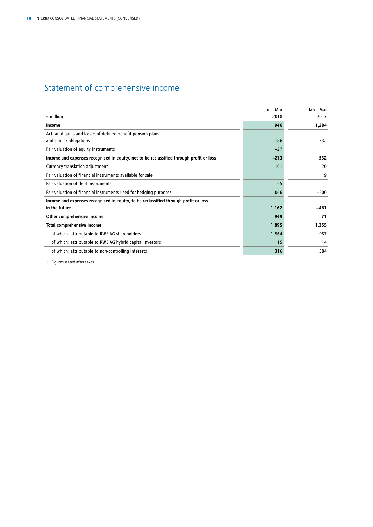## Statement of comprehensive income

|                                                                                         | Jan - Mar | Jan - Mar |
|-----------------------------------------------------------------------------------------|-----------|-----------|
| $\epsilon$ million <sup>1</sup>                                                         | 2018      | 2017      |
| Income                                                                                  | 946       | 1,284     |
| Actuarial gains and losses of defined benefit pension plans<br>and similar obligations  | $-186$    | 532       |
| Fair valuation of equity instruments                                                    | $-27$     |           |
| Income and expenses recognised in equity, not to be reclassified through profit or loss | $-213$    | 532       |
| Currency translation adjustment                                                         | 101       | 20        |
| Fair valuation of financial instruments available for sale                              |           | 19        |
| Fair valuation of debt instruments                                                      | $-5$      |           |
| Fair valuation of financial instruments used for hedging purposes                       | 1,066     | $-500$    |
| Income and expenses recognised in equity, to be reclassified through profit or loss     |           |           |
| in the future                                                                           | 1,162     | -461      |
| Other comprehensive income                                                              | 949       | 71        |
| Total comprehensive income                                                              | 1,895     | 1,355     |
| of which: attributable to RWE AG shareholders                                           | 1,564     | 957       |
| of which: attributable to RWE AG hybrid capital investors                               | 15        | 14        |
| of which: attributable to non-controlling interests                                     | 316       | 384       |

1 Figures stated after taxes.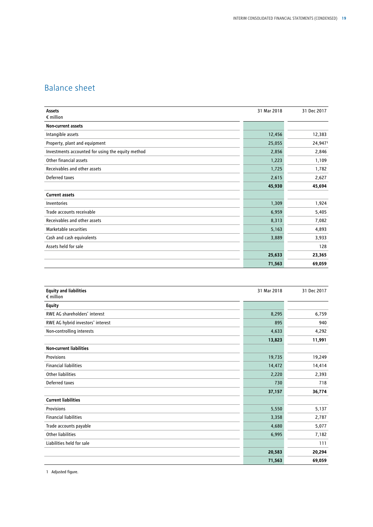## Balance sheet

| Assets                                            | 31 Mar 2018 | 31 Dec 2017 |
|---------------------------------------------------|-------------|-------------|
| $\epsilon$ million                                |             |             |
| <b>Non-current assets</b>                         |             |             |
| Intangible assets                                 | 12,456      | 12,383      |
| Property, plant and equipment                     | 25,055      | 24,9471     |
| Investments accounted for using the equity method | 2,856       | 2,846       |
| Other financial assets                            | 1,223       | 1,109       |
| Receivables and other assets                      | 1,725       | 1,782       |
| Deferred taxes                                    | 2,615       | 2,627       |
|                                                   | 45,930      | 45,694      |
| <b>Current assets</b>                             |             |             |
| Inventories                                       | 1,309       | 1,924       |
| Trade accounts receivable                         | 6,959       | 5,405       |
| Receivables and other assets                      | 8,313       | 7,082       |
| Marketable securities                             | 5,163       | 4,893       |
| Cash and cash equivalents                         | 3,889       | 3,933       |
| Assets held for sale                              |             | 128         |
|                                                   | 25,633      | 23,365      |
|                                                   | 71,563      | 69,059      |

| <b>Equity and liabilities</b><br>$\epsilon$ million | 31 Mar 2018 | 31 Dec 2017 |
|-----------------------------------------------------|-------------|-------------|
| <b>Equity</b>                                       |             |             |
| RWE AG shareholders' interest                       | 8,295       | 6,759       |
| RWE AG hybrid investors' interest                   | 895         | 940         |
| Non-controlling interests                           | 4,633       | 4,292       |
|                                                     | 13,823      | 11,991      |
| <b>Non-current liabilities</b>                      |             |             |
| Provisions                                          | 19,735      | 19,249      |
| <b>Financial liabilities</b>                        | 14,472      | 14,414      |
| <b>Other liabilities</b>                            | 2,220       | 2,393       |
| Deferred taxes                                      | 730         | 718         |
|                                                     | 37,157      | 36,774      |
| <b>Current liabilities</b>                          |             |             |
| Provisions                                          | 5,550       | 5,137       |
| <b>Financial liabilities</b>                        | 3,358       | 2,787       |
| Trade accounts payable                              | 4,680       | 5,077       |
| <b>Other liabilities</b>                            | 6,995       | 7,182       |
| Liabilities held for sale                           |             | 111         |
|                                                     | 20,583      | 20,294      |
|                                                     | 71,563      | 69,059      |

1 Adjusted figure.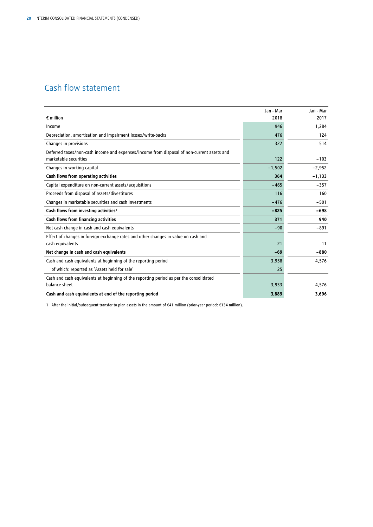## Cash flow statement

|                                                                                            | Jan - Mar | Jan - Mar |
|--------------------------------------------------------------------------------------------|-----------|-----------|
| $\epsilon$ million                                                                         | 2018      | 2017      |
| Income                                                                                     | 946       | 1,284     |
| Depreciation, amortisation and impairment losses/write-backs                               | 476       | 124       |
| Changes in provisions                                                                      | 322       | 514       |
| Deferred taxes/non-cash income and expenses/income from disposal of non-current assets and |           |           |
| marketable securities                                                                      | 122       | $-103$    |
| Changes in working capital                                                                 | $-1,502$  | $-2,952$  |
| Cash flows from operating activities                                                       | 364       | $-1,133$  |
| Capital expenditure on non-current assets/acquisitions                                     | $-465$    | $-357$    |
| Proceeds from disposal of assets/divestitures                                              | 116       | 160       |
| Changes in marketable securities and cash investments                                      | $-476$    | $-501$    |
| Cash flows from investing activities <sup>1</sup>                                          | $-825$    | $-698$    |
| Cash flows from financing activities                                                       | 371       | 940       |
| Net cash change in cash and cash equivalents                                               | $-90$     | $-891$    |
| Effect of changes in foreign exchange rates and other changes in value on cash and         |           |           |
| cash equivalents                                                                           | 21        | 11        |
| Net change in cash and cash equivalents                                                    | $-69$     | $-880$    |
| Cash and cash equivalents at beginning of the reporting period                             | 3,958     | 4,576     |
| of which: reported as 'Assets held for sale'                                               | 25        |           |
| Cash and cash equivalents at beginning of the reporting period as per the consolidated     |           |           |
| balance sheet                                                                              | 3,933     | 4,576     |
| Cash and cash equivalents at end of the reporting period                                   | 3,889     | 3,696     |

1 After the initial/subsequent transfer to plan assets in the amount of €41 million (prior-year period: €134 million).